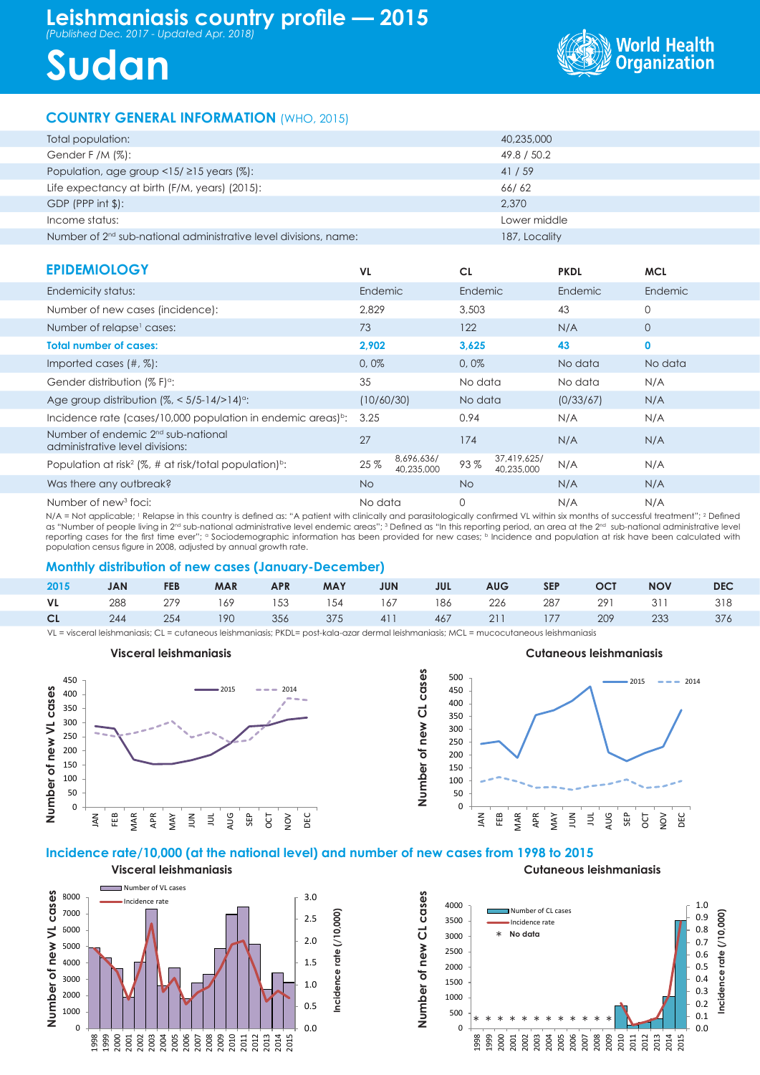# **Leishmaniasis country profile — 2015** *(Published Dec. 2017 - Updated Apr. 2018)*





## **COUNTRY GENERAL INFORMATION** (WHO, 2015)

| Total population:                                                  | 40,235,000    |
|--------------------------------------------------------------------|---------------|
| Gender F /M $(\%)$ :                                               | 49.8 / 50.2   |
| Population, age group $\langle 15/215 \rangle$ years (%):          | 41/59         |
| Life expectancy at birth (F/M, years) (2015):                      | 66/62         |
| $GDP$ (PPP int $\frac{1}{2}$ ):                                    | 2.370         |
| Income status:                                                     | Lower middle  |
| Number of $2nd$ sub-national administrative level divisions, name: | 187, Locality |

| <b>EPIDEMIOLOGY</b>                                                               | <b>VL</b>  |                          | <b>CL</b> |                           | <b>PKDL</b> | <b>MCL</b>     |
|-----------------------------------------------------------------------------------|------------|--------------------------|-----------|---------------------------|-------------|----------------|
| Endemicity status:                                                                | Endemic    |                          | Endemic   |                           | Endemic     | Endemic        |
| Number of new cases (incidence):                                                  | 2.829      |                          | 3,503     |                           | 43          | $\mathbf 0$    |
| Number of relapse <sup>1</sup> cases:                                             | 73         |                          | 122       |                           | N/A         | $\overline{0}$ |
| <b>Total number of cases:</b>                                                     | 2,902      |                          | 3,625     |                           | 43          | $\mathbf 0$    |
| Imported cases $(\#, \%)$ :                                                       | 0,0%       |                          | 0,0%      |                           | No data     | No data        |
| Gender distribution (% F) <sup>o</sup> :                                          | 35         |                          | No data   |                           | No data     | N/A            |
| Age group distribution $\frac{1}{6}$ < 5/5-14/>14) <sup>o</sup> :                 | (10/60/30) |                          | No data   |                           | (0/33/67)   | N/A            |
| Incidence rate (cases/10,000 population in endemic areas) <sup>b</sup> :          | 3.25       |                          | 0.94      |                           | N/A         | N/A            |
| Number of endemic 2 <sup>nd</sup> sub-national<br>administrative level divisions: | 27         |                          | 174       |                           | N/A         | N/A            |
| Population at risk <sup>2</sup> (%, # at risk/total population) <sup>b</sup> :    | 25%        | 8,696,636/<br>40,235,000 | 93%       | 37,419,625/<br>40,235,000 | N/A         | N/A            |
| Was there any outbreak?                                                           | <b>No</b>  |                          | <b>No</b> |                           | N/A         | N/A            |
| Number of new <sup>3</sup> foci:                                                  | No data    |                          | 0         |                           | N/A         | N/A            |

N/A = Not applicable; <sup>1</sup> Relapse in this country is defined as: "A patient with clinically and parasitologically confirmed VL within six months of successful treatment"; 2 Defined as "Number of people living in 2<sup>nd</sup> sub-national administrative level endemic areas"; <sup>3</sup> Defined as "In this reporting period, an area at the 2<sup>nd</sup> sub-national administrative level reporting cases for the first time ever"; a Sociodemographic information has been provided for new cases; b Incidence and population at risk have been calculated with population census figure in 2008, adjusted by annual growth rate.

#### **Monthly distribution of new cases (January-December)**

| 2015 | <b>JAN</b> | <b>FEB</b> | MAR APR | MAY JUN |  | JUL AUG SEP OCT |  | <b>NOV</b>                                         | <b>DEC</b> |
|------|------------|------------|---------|---------|--|-----------------|--|----------------------------------------------------|------------|
|      |            |            |         |         |  |                 |  | VL 288 279 169 153 154 167 186 226 287 291 311 318 |            |
|      |            |            |         |         |  |                 |  | CL 244 254 190 356 375 411 467 211 177 209 233 376 |            |

VL = visceral leishmaniasis; CL = cutaneous leishmaniasis; PKDL= post-kala-azar dermal leishmaniasis; MCL = mucocutaneous leishmaniasis





#### **Incidence rate/10,000 (at the national level) and number of new cases from 1998 to 2015**







**Cutaneous leishmaniasis**